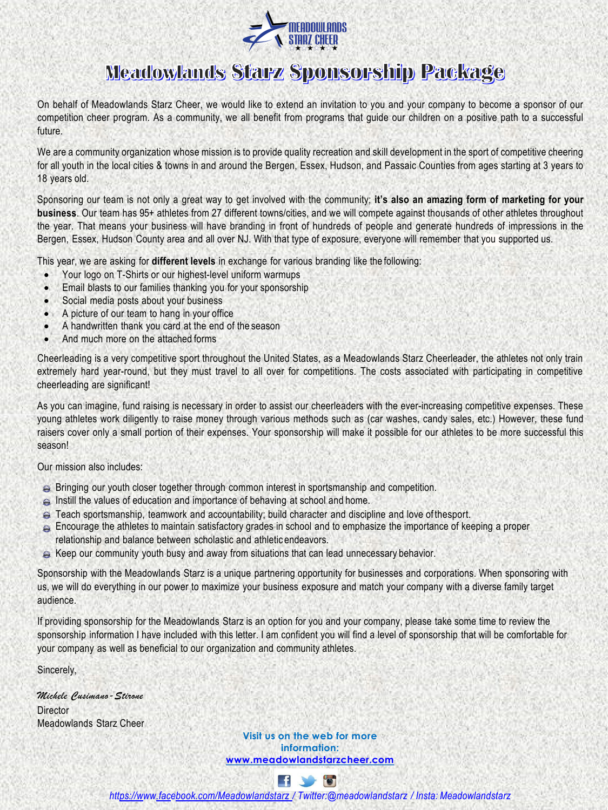

## **Meadowlands Starz Sponsorship Package**

On behalf of Meadowlands Starz Cheer, we would like to extend an invitation to you and your company to become a sponsor of our competition cheer program. As a community, we all benefit from programs that guide our children on a positive path to a successful future.

We are a community organization whose mission is to provide quality recreation and skill development in the sport of competitive cheering for all youth in the local cities & towns in and around the Bergen, Essex, Hudson, and Passaic Counties from ages starting at 3 years to 18 years old.

Sponsoring our team is not only a great way to get involved with the community; **it's also an amazing form of marketing for your business**. Our team has 95+ athletes from 27 different towns/cities, and we will compete against thousands of other athletes throughout the year. That means your business will have branding in front of hundreds of people and generate hundreds of impressions in the Bergen, Essex, Hudson County area and all over NJ. With that type of exposure, everyone will remember that you supported us.

This year, we are asking for **different levels** in exchange for various branding like the following:

- Your logo on T-Shirts or our highest-level uniform warmups
- Email blasts to our families thanking you for your sponsorship
- Social media posts about your business
- A picture of our team to hang in your office
- A handwritten thank you card at the end of the season
- And much more on the attached forms

Cheerleading is a very competitive sport throughout the United States, as a Meadowlands Starz Cheerleader, the athletes not only train extremely hard year-round, but they must travel to all over for competitions. The costs associated with participating in competitive cheerleading are significant!

As you can imagine, fund raising is necessary in order to assist our cheerleaders with the ever-increasing competitive expenses. These young athletes work diligently to raise money through various methods such as (car washes, candy sales, etc.) However, these fund raisers cover only a small portion of their expenses. Your sponsorship will make it possible for our athletes to be more successful this season!

Our mission also includes:

- Bringing our youth closer together through common interest in sportsmanship and competition.
- Instill the values of education and importance of behaving at school and home.
- Teach sportsmanship, teamwork and accountability; build character and discipline and love of thesport.
- Encourage the athletes to maintain satisfactory grades in school and to emphasize the importance of keeping a proper relationship and balance between scholastic and athletic endeavors.
- $\approx$  Keep our community youth busy and away from situations that can lead unnecessary behavior.

Sponsorship with the Meadowlands Starz is a unique partnering opportunity for businesses and corporations. When sponsoring with us, we will do everything in our power to maximize your business exposure and match your company with a diverse family target audience.

If providing sponsorship for the Meadowlands Starz is an option for you and your company, please take some time to review the sponsorship information I have included with this letter. I am confident you will find a level of sponsorship that will be comfortable for your company as well as beneficial to our organization and community athletes.

Sincerely,

*Michele Cusimano-Stirone* **Director** Meadowlands Starz Cheer

> **Visit us on the web for more information: [www.meadowlandstarzcheer.com](http://www.meadowlandstarzcheer.com/)**



*htt[ps://w](http://www.facebook.com/Meadowlandstarz)ww[.facebook.com/Meadowlandstarz /](http://www.facebook.com/Meadowlandstarz) Twitter:@meadowlandstarz / Insta: Meadowlandstarz*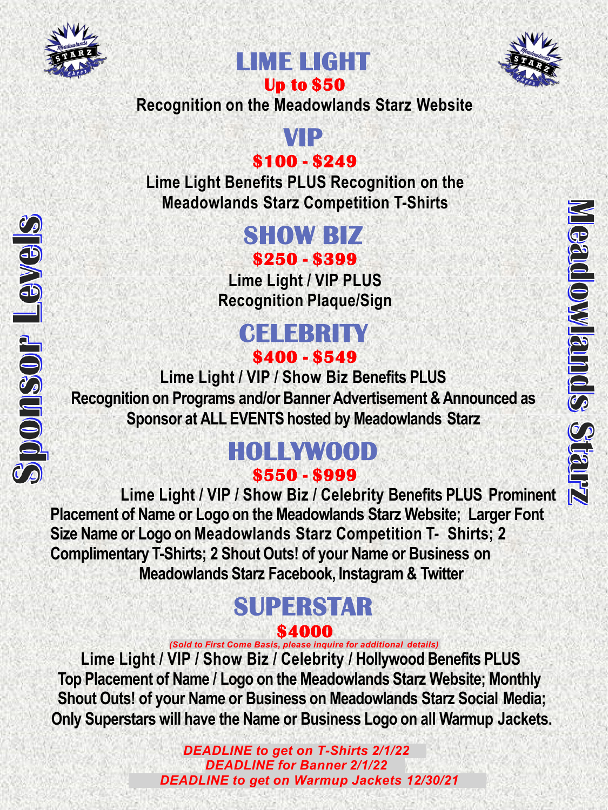

Sponsor Levels





**Recognition on the Meadowlands Starz Website**

## **VIP \$100 - \$249**

**Lime Light Benefits PLUS Recognition on the Meadowlands Starz Competition T-Shirts**

## **SHOW BIZ \$250 - \$399**

**Lime Light / VIP PLUS Recognition Plaque/Sign**

## **CELEBRITY \$400 - \$549**

**Lime Light / VIP / Show Biz Benefits PLUS Recognition on Programs and/or Banner Advertisement & Announced as Sponsor at ALL EVENTS hosted by Meadowlands Starz**

## **HOLLYWOOD \$550 - \$999**

**Lime Light / VIP / Show Biz / Celebrity Benefits PLUS Prominent Placement of Name or Logo on the Meadowlands Starz Website; Larger Font Size Name or Logo on Meadowlands Starz Competition T- Shirts; 2 Complimentary T-Shirts; 2 Shout Outs! of your Name or Business on Meadowlands Starz Facebook, Instagram & Twitter**

# **SUPERSTAR \$4000**

*(Sold to First Come Basis, please inquire for additional details)*

**Lime Light / VIP / Show Biz / Celebrity / Hollywood Benefits PLUS Top Placement of Name / Logo on the Meadowlands Starz Website; Monthly Shout Outs! of your Name or Business on Meadowlands Starz Social Media; Only Superstars will have the Name or Business Logo on all Warmup Jackets.**

> *DEADLINE to get on T-Shirts 2/1/22 DEADLINE for Banner 2/1/22 DEADLINE to get on Warmup Jackets 12/30/21*